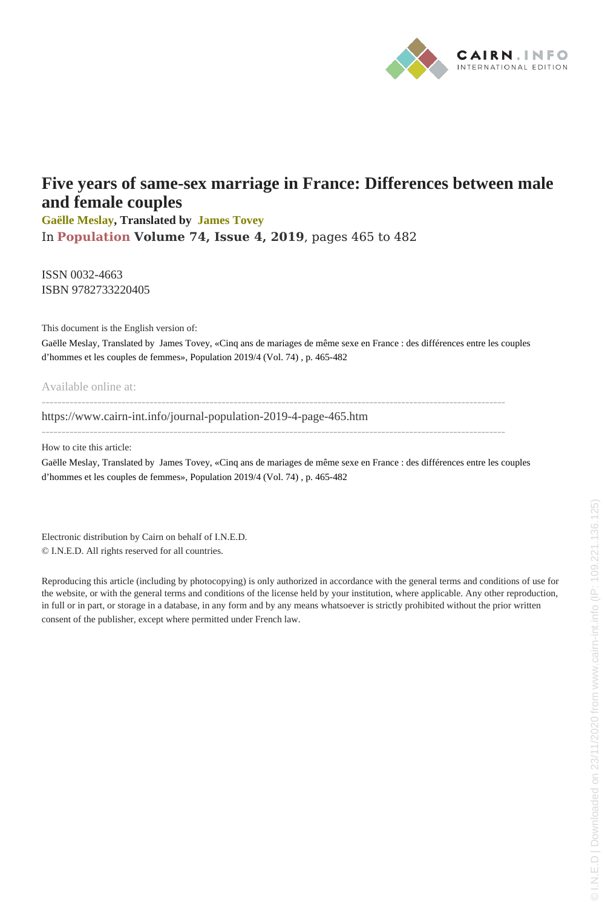

# **Five years of same-sex marriage in France: Differences between male and female couples**

**[Gaëlle Meslay](www.cairn-int.info/publications-de-Gaëlle-Meslay--62308.htm?WT.tsrc=cairnPdf), Translated by [James Tovey](www.cairn-int.info/publications-de-James-Tovey--38621.htm?WT.tsrc=cairnPdf)** In **[Population](www.cairn-int.info/journal-population.htm?WT.tsrc=cairnPdf) [Volume 74, Issue 4, 2019](www.cairn-int.info/journal-population-2019-4.htm?WT.tsrc=cairnPdf)**, pages 465 to 482

ISSN 0032-4663 ISBN 9782733220405

This document is the English version of:

Gaëlle Meslay, Translated by James Tovey, «Cinq ans de mariages de même sexe en France : des différences entre les couples d'hommes et les couples de femmes», Population 2019/4 (Vol. 74) , p. 465-482

Available online at:

------------------------------------------------------------------------------------------------------------------- [https://www.cairn-int.info/journal-population-2019-4-page-465.htm](https://www.cairn-int.info/journal-population-2019-4-page-465.htm?WT.tsrc=cairnPdf)

--------------------------------------------------------------------------------------------------------------------

How to cite this article:

Gaëlle Meslay, Translated by James Tovey, «Cinq ans de mariages de même sexe en France : des différences entre les couples d'hommes et les couples de femmes», Population 2019/4 (Vol. 74) , p. 465-482

Electronic distribution by Cairn on behalf of I.N.E.D. © I.N.E.D. All rights reserved for all countries.

Reproducing this article (including by photocopying) is only authorized in accordance with the general terms and conditions of use for the website, or with the general terms and conditions of the license held by your institution, where applicable. Any other reproduction, in full or in part, or storage in a database, in any form and by any means whatsoever is strictly prohibited without the prior written consent of the publisher, except where permitted under French law.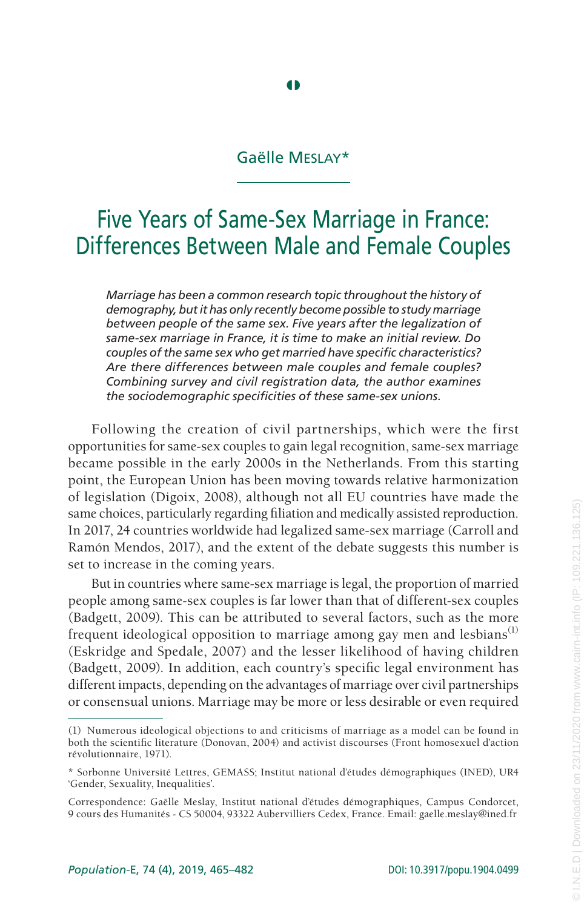# Gaëlle Meslay\*

**4** 

# Five Years of Same-Sex Marriage in France: Differences Between Male and Female Couples

*Marriage has been a common research topic throughout the history of demography, but it has only recently become possible to study marriage between people of the same sex. Five years after the legalization of same-sex marriage in France, it is time to make an initial review. Do couples of the same sex who get married have specific characteristics? Are there differences between male couples and female couples? Combining survey and civil registration data, the author examines the sociodemographic specificities of these same-sex unions.*

Following the creation of civil partnerships, which were the first opportunities for same-sex couples to gain legal recognition, same-sex marriage became possible in the early 2000s in the Netherlands. From this starting point, the European Union has been moving towards relative harmonization of legislation (Digoix, 2008), although not all EU countries have made the same choices, particularly regarding filiation and medically assisted reproduction. In 2017, 24 countries worldwide had legalized same-sex marriage (Carroll and Ramón Mendos, 2017), and the extent of the debate suggests this number is set to increase in the coming years.

But in countries where same-sex marriage is legal, the proportion of married people among same-sex couples is far lower than that of different-sex couples (Badgett, 2009). This can be attributed to several factors, such as the more frequent ideological opposition to marriage among gay men and lesbians<sup>(1)</sup> (Eskridge and Spedale, 2007) and the lesser likelihood of having children (Badgett, 2009). In addition, each country's specific legal environment has different impacts, depending on the advantages of marriage over civil partnerships or consensual unions. Marriage may be more or less desirable or even required

<sup>(1)</sup> Numerous ideological objections to and criticisms of marriage as a model can be found in both the scientific literature (Donovan, 2004) and activist discourses (Front homosexuel d'action révolutionnaire, 1971).

<sup>\*</sup> Sorbonne Université Lettres, GEMASS; Institut national d'études démographiques (INED), UR4 'Gender, Sexuality, Inequalities'.

Correspondence: Gaëlle Meslay, Institut national d'études démographiques, Campus Condorcet, 9 cours des Humanités - CS 50004, 93322 Aubervilliers Cedex, France. Email: gaelle.meslay@ined.fr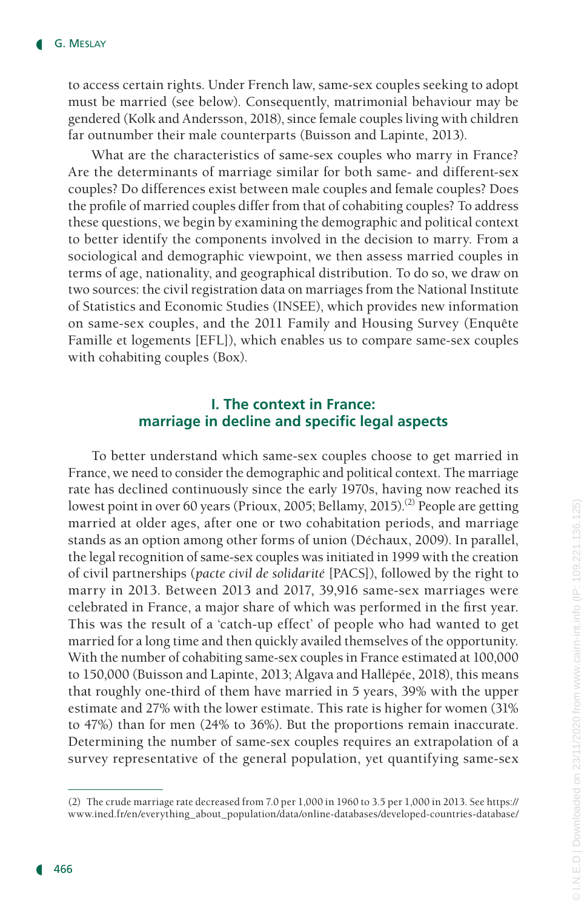to access certain rights. Under French law, same-sex couples seeking to adopt must be married (see below). Consequently, matrimonial behaviour may be gendered (Kolk and Andersson, 2018), since female couples living with children far outnumber their male counterparts (Buisson and Lapinte, 2013).

What are the characteristics of same-sex couples who marry in France? Are the determinants of marriage similar for both same- and different-sex couples? Do differences exist between male couples and female couples? Does the profile of married couples differ from that of cohabiting couples? To address these questions, we begin by examining the demographic and political context to better identify the components involved in the decision to marry. From a sociological and demographic viewpoint, we then assess married couples in terms of age, nationality, and geographical distribution. To do so, we draw on two sources: the civil registration data on marriages from the National Institute of Statistics and Economic Studies (INSEE), which provides new information on same-sex couples, and the 2011 Family and Housing Survey (Enquête Famille et logements [EFL]), which enables us to compare same-sex couples with cohabiting couples (Box).

## **I. The context in France: marriage in decline and specific legal aspects**

To better understand which same-sex couples choose to get married in France, we need to consider the demographic and political context. The marriage rate has declined continuously since the early 1970s, having now reached its lowest point in over 60 years (Prioux, 2005; Bellamy, 2015).<sup>(2)</sup> People are getting married at older ages, after one or two cohabitation periods, and marriage stands as an option among other forms of union (Déchaux, 2009). In parallel, the legal recognition of same-sex couples was initiated in 1999 with the creation of civil partnerships (*pacte civil de solidarité* [PACS]), followed by the right to marry in 2013. Between 2013 and 2017, 39,916 same-sex marriages were celebrated in France, a major share of which was performed in the first year. This was the result of a 'catch-up effect' of people who had wanted to get married for a long time and then quickly availed themselves of the opportunity. With the number of cohabiting same-sex couples in France estimated at 100,000 to 150,000 (Buisson and Lapinte, 2013; Algava and Hallépée, 2018), this means that roughly one-third of them have married in 5 years, 39% with the upper estimate and 27% with the lower estimate. This rate is higher for women (31% to 47%) than for men (24% to 36%). But the proportions remain inaccurate. Determining the number of same-sex couples requires an extrapolation of a survey representative of the general population, yet quantifying same-sex

<sup>(2)</sup> The crude marriage rate decreased from 7.0 per 1,000 in 1960 to 3.5 per 1,000 in 2013. See https:// www.ined.fr/en/everything\_about\_population/data/online-databases/developed-countries-database/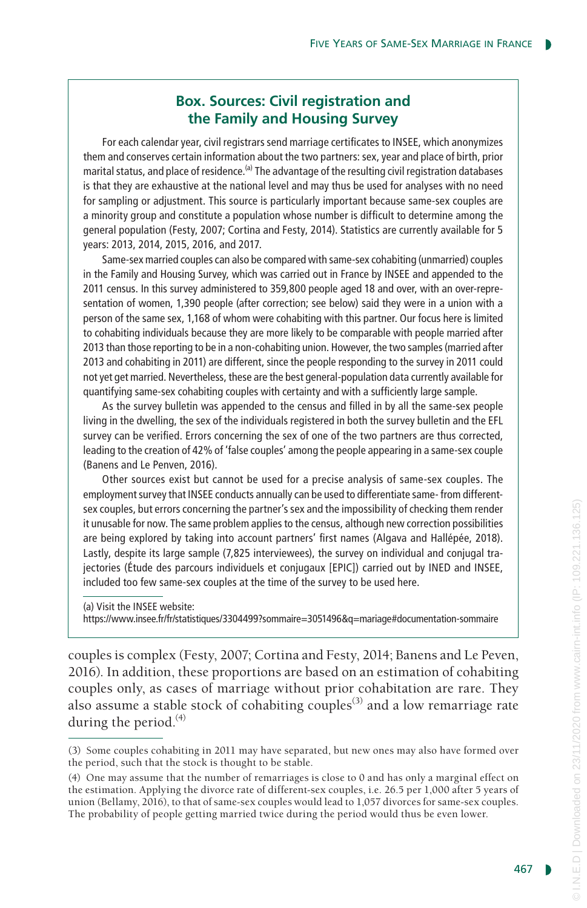# **Box. Sources: Civil registration and the Family and Housing Survey**

For each calendar year, civil registrars send marriage certificates to INSEE, which anonymizes them and conserves certain information about the two partners: sex, year and place of birth, prior marital status, and place of residence.<sup>(a)</sup> The advantage of the resulting civil registration databases is that they are exhaustive at the national level and may thus be used for analyses with no need for sampling or adjustment. This source is particularly important because same-sex couples are a minority group and constitute a population whose number is difficult to determine among the general population (Festy, 2007; Cortina and Festy, 2014). Statistics are currently available for 5 years: 2013, 2014, 2015, 2016, and 2017.

Same-sex married couples can also be compared with same-sex cohabiting (unmarried) couples in the Family and Housing Survey, which was carried out in France by INSEE and appended to the 2011 census. In this survey administered to 359,800 people aged 18 and over, with an over-representation of women, 1,390 people (after correction; see below) said they were in a union with a person of the same sex, 1,168 of whom were cohabiting with this partner. Our focus here is limited to cohabiting individuals because they are more likely to be comparable with people married after 2013 than those reporting to be in a non-cohabiting union. However, the two samples (married after 2013 and cohabiting in 2011) are different, since the people responding to the survey in 2011 could not yet get married. Nevertheless, these are the best general-population data currently available for quantifying same-sex cohabiting couples with certainty and with a sufficiently large sample.

As the survey bulletin was appended to the census and filled in by all the same-sex people living in the dwelling, the sex of the individuals registered in both the survey bulletin and the EFL survey can be verified. Errors concerning the sex of one of the two partners are thus corrected, leading to the creation of 42% of 'false couples' among the people appearing in a same-sex couple (Banens and Le Penven, 2016).

Other sources exist but cannot be used for a precise analysis of same-sex couples. The employment survey that INSEE conducts annually can be used to differentiate same- from differentsex couples, but errors concerning the partner's sex and the impossibility of checking them render it unusable for now. The same problem applies to the census, although new correction possibilities are being explored by taking into account partners' first names (Algava and Hallépée, 2018). Lastly, despite its large sample (7,825 interviewees), the survey on individual and conjugal trajectories (Étude des parcours individuels et conjugaux [EPIC]) carried out by INED and INSEE, included too few same-sex couples at the time of the survey to be used here.

(a) Visit the INSEE website:

https://www.insee.fr/fr/statistiques/3304499?sommaire=3051496&q=mariage#documentation-sommaire

couples is complex (Festy, 2007; Cortina and Festy, 2014; Banens and Le Peven, 2016). In addition, these proportions are based on an estimation of cohabiting couples only, as cases of marriage without prior cohabitation are rare. They also assume a stable stock of cohabiting couples<sup>(3)</sup> and a low remarriage rate during the period. $(4)$ 

<sup>(3)</sup> Some couples cohabiting in 2011 may have separated, but new ones may also have formed over the period, such that the stock is thought to be stable.

<sup>(4)</sup> One may assume that the number of remarriages is close to 0 and has only a marginal effect on the estimation. Applying the divorce rate of different-sex couples, i.e. 26.5 per 1,000 after 5 years of union (Bellamy, 2016), to that of same-sex couples would lead to 1,057 divorces for same-sex couples. The probability of people getting married twice during the period would thus be even lower.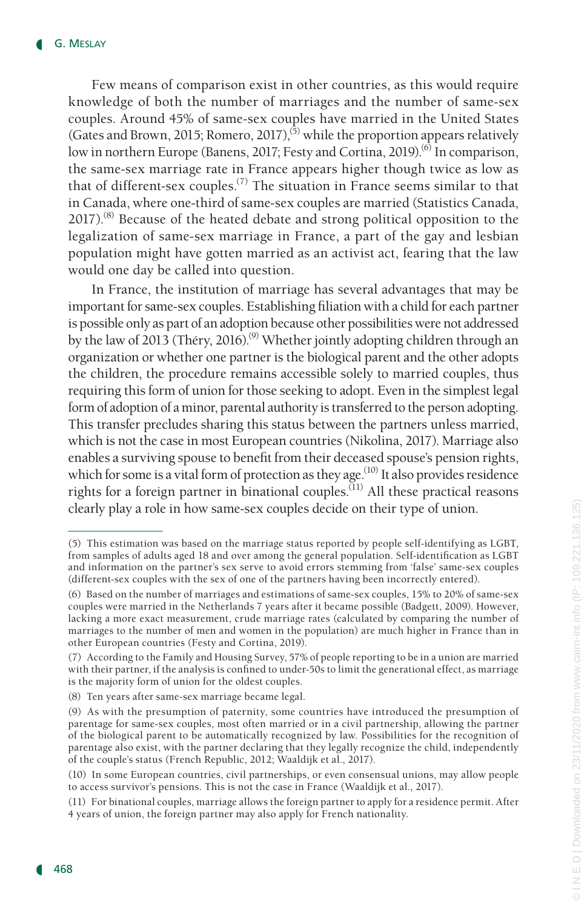Few means of comparison exist in other countries, as this would require knowledge of both the number of marriages and the number of same-sex couples. Around 45% of same-sex couples have married in the United States (Gates and Brown, 2015; Romero, 2017),<sup>(5)</sup> while the proportion appears relatively low in northern Europe (Banens, 2017; Festy and Cortina, 2019).<sup>(6)</sup> In comparison, the same-sex marriage rate in France appears higher though twice as low as that of different-sex couples.<sup>(7)</sup> The situation in France seems similar to that in Canada, where one-third of same-sex couples are married (Statistics Canada,  $2017$ ).<sup>(8)</sup> Because of the heated debate and strong political opposition to the legalization of same-sex marriage in France, a part of the gay and lesbian population might have gotten married as an activist act, fearing that the law would one day be called into question.

In France, the institution of marriage has several advantages that may be important for same-sex couples. Establishing filiation with a child for each partner is possible only as part of an adoption because other possibilities were not addressed by the law of 2013 (Théry, 2016).<sup>(9)</sup> Whether jointly adopting children through an organization or whether one partner is the biological parent and the other adopts the children, the procedure remains accessible solely to married couples, thus requiring this form of union for those seeking to adopt. Even in the simplest legal form of adoption of a minor, parental authority is transferred to the person adopting. This transfer precludes sharing this status between the partners unless married, which is not the case in most European countries (Nikolina, 2017). Marriage also enables a surviving spouse to benefit from their deceased spouse's pension rights, which for some is a vital form of protection as they age.<sup> $(10)$ </sup> It also provides residence rights for a foreign partner in binational couples.<sup>(11)</sup> All these practical reasons clearly play a role in how same-sex couples decide on their type of union.

<sup>(5)</sup> This estimation was based on the marriage status reported by people self-identifying as LGBT, from samples of adults aged 18 and over among the general population. Self-identification as LGBT and information on the partner's sex serve to avoid errors stemming from 'false' same-sex couples (different-sex couples with the sex of one of the partners having been incorrectly entered).

<sup>(6)</sup> Based on the number of marriages and estimations of same-sex couples, 15% to 20% of same-sex couples were married in the Netherlands 7 years after it became possible (Badgett, 2009). However, lacking a more exact measurement, crude marriage rates (calculated by comparing the number of marriages to the number of men and women in the population) are much higher in France than in other European countries (Festy and Cortina, 2019).

<sup>(7)</sup> According to the Family and Housing Survey, 57% of people reporting to be in a union are married with their partner, if the analysis is confined to under-50s to limit the generational effect, as marriage is the majority form of union for the oldest couples.

<sup>(8)</sup> Ten years after same-sex marriage became legal.

<sup>(9)</sup> As with the presumption of paternity, some countries have introduced the presumption of parentage for same-sex couples, most often married or in a civil partnership, allowing the partner of the biological parent to be automatically recognized by law. Possibilities for the recognition of parentage also exist, with the partner declaring that they legally recognize the child, independently of the couple's status (French Republic, 2012; Waaldijk et al., 2017).

<sup>(10)</sup> In some European countries, civil partnerships, or even consensual unions, may allow people to access survivor's pensions. This is not the case in France (Waaldijk et al., 2017).

<sup>(11)</sup> For binational couples, marriage allows the foreign partner to apply for a residence permit. After 4 years of union, the foreign partner may also apply for French nationality.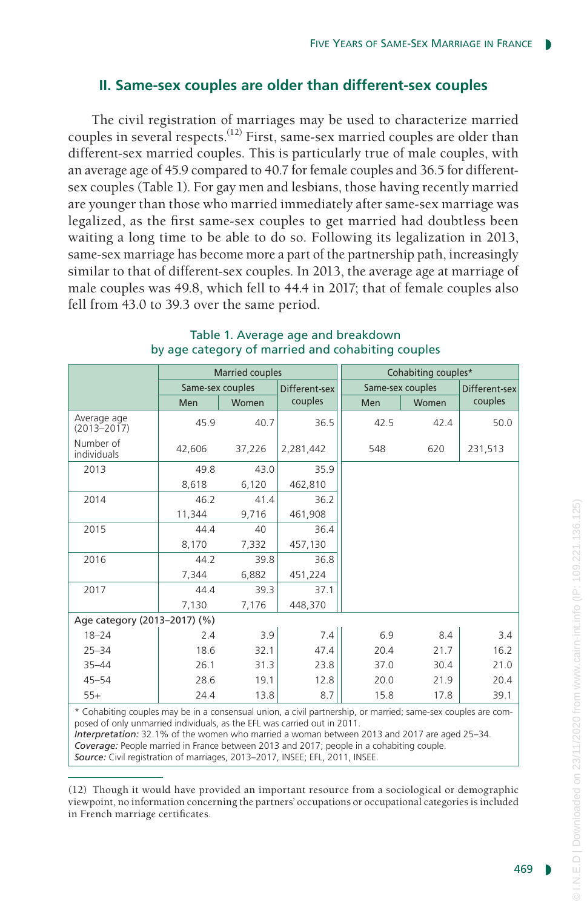# **II. Same-sex couples are older than different-sex couples**

The civil registration of marriages may be used to characterize married couples in several respects.<sup> $(12)$ </sup> First, same-sex married couples are older than different-sex married couples. This is particularly true of male couples, with an average age of 45.9 compared to 40.7 for female couples and 36.5 for differentsex couples (Table 1). For gay men and lesbians, those having recently married are younger than those who married immediately after same-sex marriage was legalized, as the first same-sex couples to get married had doubtless been waiting a long time to be able to do so. Following its legalization in 2013, same-sex marriage has become more a part of the partnership path, increasingly similar to that of different-sex couples. In 2013, the average age at marriage of male couples was 49.8, which fell to 44.4 in 2017; that of female couples also fell from 43.0 to 39.3 over the same period.

|                                                                                                                                                                                                                                                                                                                                                                                                                                                                       | <b>Married couples</b> |        |               | Cohabiting couples* |       |               |  |
|-----------------------------------------------------------------------------------------------------------------------------------------------------------------------------------------------------------------------------------------------------------------------------------------------------------------------------------------------------------------------------------------------------------------------------------------------------------------------|------------------------|--------|---------------|---------------------|-------|---------------|--|
|                                                                                                                                                                                                                                                                                                                                                                                                                                                                       | Same-sex couples       |        | Different-sex | Same-sex couples    |       | Different-sex |  |
|                                                                                                                                                                                                                                                                                                                                                                                                                                                                       | Men                    | Women  | couples       | Men                 | Women | couples       |  |
| Average age<br>$(2013 - 2017)$                                                                                                                                                                                                                                                                                                                                                                                                                                        | 45.9                   | 40.7   | 36.5          | 42.5                | 42.4  | 50.0          |  |
| Number of<br>individuals                                                                                                                                                                                                                                                                                                                                                                                                                                              | 42,606                 | 37,226 | 2,281,442     | 548                 | 620   | 231,513       |  |
| 2013                                                                                                                                                                                                                                                                                                                                                                                                                                                                  | 49.8                   | 43.0   | 35.9          |                     |       |               |  |
|                                                                                                                                                                                                                                                                                                                                                                                                                                                                       | 8,618                  | 6,120  | 462,810       |                     |       |               |  |
| 2014                                                                                                                                                                                                                                                                                                                                                                                                                                                                  | 46.2                   | 41.4   | 36.2          |                     |       |               |  |
|                                                                                                                                                                                                                                                                                                                                                                                                                                                                       | 11,344                 | 9,716  | 461,908       |                     |       |               |  |
| 2015                                                                                                                                                                                                                                                                                                                                                                                                                                                                  | 44.4                   | 40     | 36.4          |                     |       |               |  |
|                                                                                                                                                                                                                                                                                                                                                                                                                                                                       | 8,170                  | 7,332  | 457,130       |                     |       |               |  |
| 2016                                                                                                                                                                                                                                                                                                                                                                                                                                                                  | 44.2                   | 39.8   | 36.8          |                     |       |               |  |
|                                                                                                                                                                                                                                                                                                                                                                                                                                                                       | 7,344                  | 6,882  | 451,224       |                     |       |               |  |
| 2017                                                                                                                                                                                                                                                                                                                                                                                                                                                                  | 44.4                   | 39.3   | 37.1          |                     |       |               |  |
|                                                                                                                                                                                                                                                                                                                                                                                                                                                                       | 7,130                  | 7,176  | 448,370       |                     |       |               |  |
| Age category (2013-2017) (%)                                                                                                                                                                                                                                                                                                                                                                                                                                          |                        |        |               |                     |       |               |  |
| $18 - 24$                                                                                                                                                                                                                                                                                                                                                                                                                                                             | 2.4                    | 3.9    | 7.4           | 6.9                 | 8.4   | 3.4           |  |
| $25 - 34$                                                                                                                                                                                                                                                                                                                                                                                                                                                             | 18.6                   | 32.1   | 47.4          | 20.4                | 21.7  | 16.2          |  |
| $35 - 44$                                                                                                                                                                                                                                                                                                                                                                                                                                                             | 26.1                   | 31.3   | 23.8          | 37.0                | 30.4  | 21.0          |  |
| $45 - 54$                                                                                                                                                                                                                                                                                                                                                                                                                                                             | 28.6                   | 19.1   | 12.8          | 20.0                | 21.9  | 20.4          |  |
| $55+$                                                                                                                                                                                                                                                                                                                                                                                                                                                                 | 24.4                   | 13.8   | 8.7           | 15.8                | 17.8  | 39.1          |  |
| * Cohabiting couples may be in a consensual union, a civil partnership, or married; same-sex couples are com-<br>posed of only unmarried individuals, as the EFL was carried out in 2011.<br>Interpretation: 32.1% of the women who married a woman between 2013 and 2017 are aged 25–34.<br>Coverage: People married in France between 2013 and 2017; people in a cohabiting couple.<br>Source: Civil registration of marriages, 2013–2017, INSEE: EFL, 2011, INSEE. |                        |        |               |                     |       |               |  |

#### Table 1. Average age and breakdown by age category of married and cohabiting couples

(12) Though it would have provided an important resource from a sociological or demographic viewpoint, no information concerning the partners' occupations or occupational categories is included in French marriage certificates.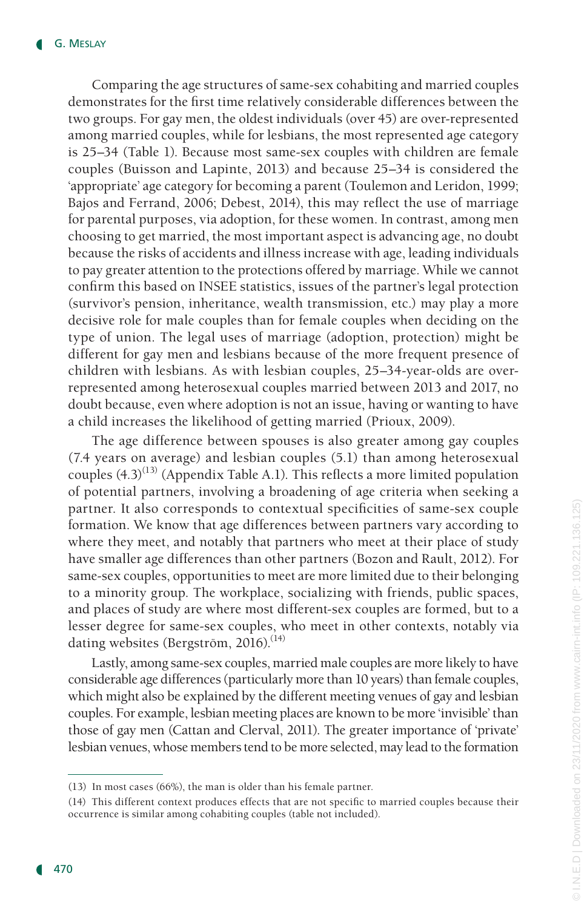Comparing the age structures of same-sex cohabiting and married couples demonstrates for the first time relatively considerable differences between the two groups. For gay men, the oldest individuals (over 45) are over-represented among married couples, while for lesbians, the most represented age category is 25–34 (Table 1). Because most same-sex couples with children are female couples (Buisson and Lapinte, 2013) and because 25–34 is considered the 'appropriate' age category for becoming a parent (Toulemon and Leridon, 1999; Bajos and Ferrand, 2006; Debest, 2014), this may reflect the use of marriage for parental purposes, via adoption, for these women. In contrast, among men choosing to get married, the most important aspect is advancing age, no doubt because the risks of accidents and illness increase with age, leading individuals to pay greater attention to the protections offered by marriage. While we cannot confirm this based on INSEE statistics, issues of the partner's legal protection (survivor's pension, inheritance, wealth transmission, etc.) may play a more decisive role for male couples than for female couples when deciding on the type of union. The legal uses of marriage (adoption, protection) might be different for gay men and lesbians because of the more frequent presence of children with lesbians. As with lesbian couples, 25–34-year-olds are overrepresented among heterosexual couples married between 2013 and 2017, no doubt because, even where adoption is not an issue, having or wanting to have a child increases the likelihood of getting married (Prioux, 2009).

The age difference between spouses is also greater among gay couples (7.4 years on average) and lesbian couples (5.1) than among heterosexual couples  $(4.3)^{(13)}$  (Appendix Table A.1). This reflects a more limited population of potential partners, involving a broadening of age criteria when seeking a partner. It also corresponds to contextual specificities of same-sex couple formation. We know that age differences between partners vary according to where they meet, and notably that partners who meet at their place of study have smaller age differences than other partners (Bozon and Rault, 2012). For same-sex couples, opportunities to meet are more limited due to their belonging to a minority group. The workplace, socializing with friends, public spaces, and places of study are where most different-sex couples are formed, but to a lesser degree for same-sex couples, who meet in other contexts, notably via dating websites (Bergström, 2016).<sup>(14)</sup>

Lastly, among same-sex couples, married male couples are more likely to have considerable age differences (particularly more than 10 years) than female couples, which might also be explained by the different meeting venues of gay and lesbian couples. For example, lesbian meeting places are known to be more 'invisible' than those of gay men (Cattan and Clerval, 2011). The greater importance of 'private' lesbian venues, whose members tend to be more selected, may lead to the formation

<sup>(13)</sup> In most cases (66%), the man is older than his female partner.

<sup>(14)</sup> This different context produces effects that are not specific to married couples because their occurrence is similar among cohabiting couples (table not included).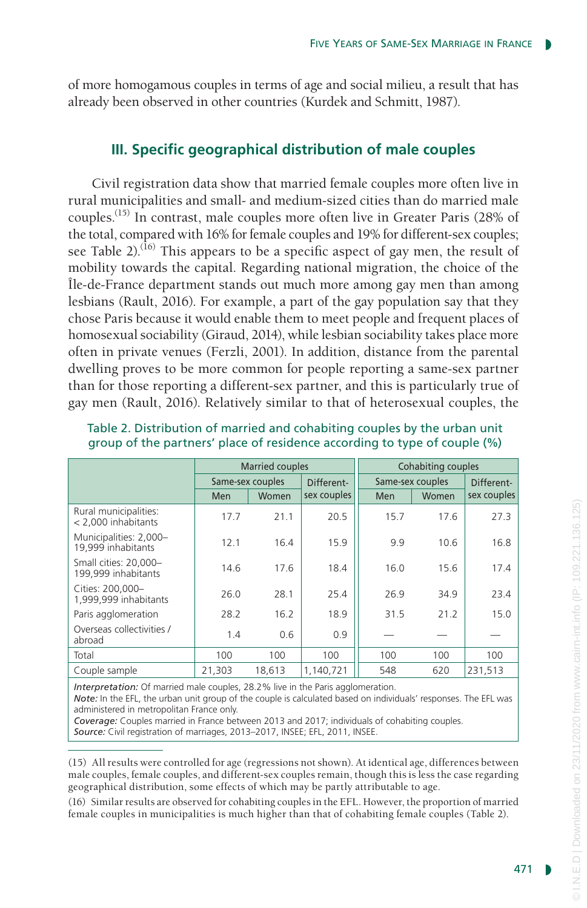of more homogamous couples in terms of age and social milieu, a result that has already been observed in other countries (Kurdek and Schmitt, 1987).

## **III. Specific geographical distribution of male couples**

Civil registration data show that married female couples more often live in rural municipalities and small- and medium-sized cities than do married male couples.(15) In contrast, male couples more often live in Greater Paris (28% of the total, compared with 16% for female couples and 19% for different-sex couples; see Table 2).<sup>(16)</sup> This appears to be a specific aspect of gay men, the result of mobility towards the capital. Regarding national migration, the choice of the Île-de-France department stands out much more among gay men than among lesbians (Rault, 2016). For example, a part of the gay population say that they chose Paris because it would enable them to meet people and frequent places of homosexual sociability (Giraud, 2014), while lesbian sociability takes place more often in private venues (Ferzli, 2001). In addition, distance from the parental dwelling proves to be more common for people reporting a same-sex partner than for those reporting a different-sex partner, and this is particularly true of gay men (Rault, 2016). Relatively similar to that of heterosexual couples, the

|                                              |                  | <b>Married couples</b> |             | <b>Cohabiting couples</b> |                  |             |
|----------------------------------------------|------------------|------------------------|-------------|---------------------------|------------------|-------------|
|                                              | Same-sex couples |                        | Different-  |                           | Same-sex couples |             |
|                                              | Men              | Women                  | sex couples | Men                       | Women            | sex couples |
| Rural municipalities:<br>< 2.000 inhabitants | 17.7             | 21.1                   | 20.5        | 15.7                      | 17.6             | 27.3        |
| Municipalities: 2,000-<br>19,999 inhabitants | 12.1             | 16.4                   | 15.9        | 9.9                       | 10.6             | 16.8        |
| Small cities: 20.000-<br>199,999 inhabitants | 14.6             | 17.6                   | 18.4        | 16.0                      | 15.6             | 17.4        |
| Cities: 200.000-<br>1,999,999 inhabitants    | 26.0             | 28.1                   | 25.4        | 26.9                      | 34.9             | 23.4        |
| Paris agglomeration                          | 28.2             | 16.2                   | 18.9        | 31.5                      | 21.2             | 15.0        |
| Overseas collectivities /<br>abroad          | 1.4              | 0.6                    | 0.9         |                           |                  |             |
| Total                                        | 100              | 100                    | 100         | 100                       | 100              | 100         |
| Couple sample                                | 21,303           | 18,613                 | 1,140,721   | 548                       | 620              | 231,513     |

Table 2. Distribution of married and cohabiting couples by the urban unit group of the partners' place of residence according to type of couple (%)

*Interpretation:* Of married male couples, 28.2% live in the Paris agglomeration.

*Note:* In the EFL, the urban unit group of the couple is calculated based on individuals' responses. The EFL was administered in metropolitan France only.

*Coverage:* Couples married in France between 2013 and 2017; individuals of cohabiting couples. *Source:* Civil registration of marriages, 2013–2017, INSEE; EFL, 2011, INSEE.

(15) All results were controlled for age (regressions not shown). At identical age, differences between male couples, female couples, and different-sex couples remain, though this is less the case regarding geographical distribution, some effects of which may be partly attributable to age.

(16) Similar results are observed for cohabiting couples in the EFL. However, the proportion of married female couples in municipalities is much higher than that of cohabiting female couples (Table 2).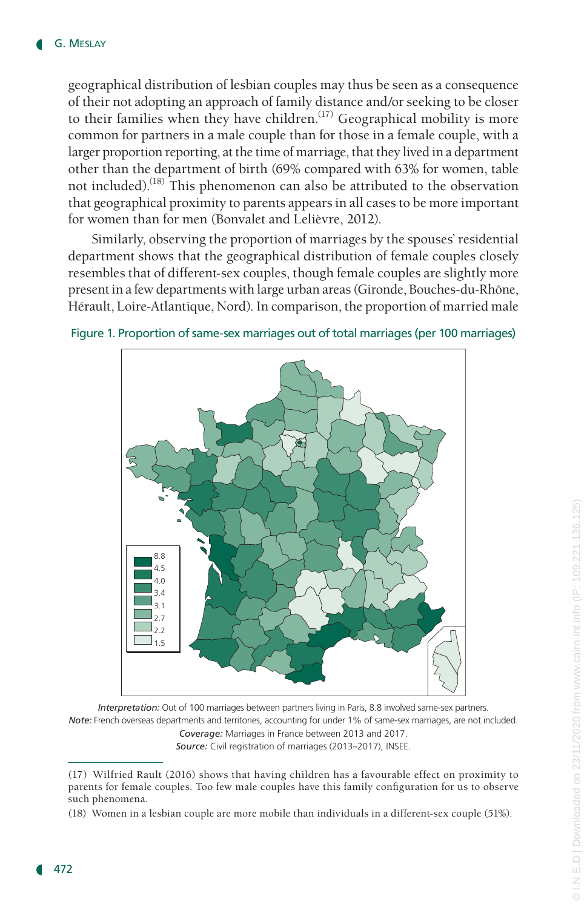geographical distribution of lesbian couples may thus be seen as a consequence of their not adopting an approach of family distance and/or seeking to be closer to their families when they have children.<sup> $(17)$ </sup> Geographical mobility is more common for partners in a male couple than for those in a female couple, with a larger proportion reporting, at the time of marriage, that they lived in a department other than the department of birth (69% compared with 63% for women, table not included).(18) This phenomenon can also be attributed to the observation that geographical proximity to parents appears in all cases to be more important for women than for men (Bonvalet and Lelièvre, 2012).

Similarly, observing the proportion of marriages by the spouses' residential department shows that the geographical distribution of female couples closely resembles that of different-sex couples, though female couples are slightly more present in a few departments with large urban areas (Gironde, Bouches-du-Rhône, Hérault, Loire-Atlantique, Nord). In comparison, the proportion of married male



Figure 1. Proportion of same-sex marriages out of total marriages (per 100 marriages)

*Interpretation:* Out of 100 marriages between partners living in Paris, 8.8 involved same-sex partners. *Note:* French overseas departments and territories, accounting for under 1% of same-sex marriages, are not included.

*Coverage:* Marriages in France between 2013 and 2017.

*Source:* Civil registration of marriages (2013–2017), INSEE.

<sup>(17)</sup> Wilfried Rault (2016) shows that having children has a favourable effect on proximity to parents for female couples. Too few male couples have this family configuration for us to observe such phenomena.

<sup>(18)</sup> Women in a lesbian couple are more mobile than individuals in a different-sex couple (51%).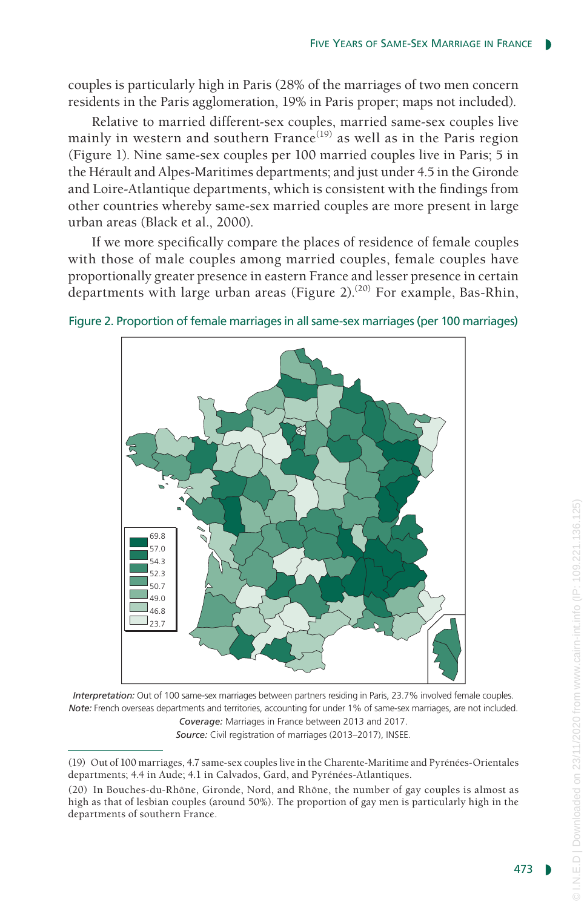couples is particularly high in Paris (28% of the marriages of two men concern residents in the Paris agglomeration, 19% in Paris proper; maps not included).

Relative to married different-sex couples, married same-sex couples live mainly in western and southern  $France^{(19)}$  as well as in the Paris region (Figure 1). Nine same-sex couples per 100 married couples live in Paris; 5 in the Hérault and Alpes-Maritimes departments; and just under 4.5 in the Gironde and Loire-Atlantique departments, which is consistent with the findings from other countries whereby same-sex married couples are more present in large urban areas (Black et al., 2000).

If we more specifically compare the places of residence of female couples with those of male couples among married couples, female couples have proportionally greater presence in eastern France and lesser presence in certain departments with large urban areas (Figure 2).<sup>(20)</sup> For example, Bas-Rhin,



Figure 2. Proportion of female marriages in all same-sex marriages (per 100 marriages)

*Interpretation:* Out of 100 same-sex marriages between partners residing in Paris, 23.7% involved female couples. *Note:* French overseas departments and territories, accounting for under 1% of same-sex marriages, are not included. *Coverage:* Marriages in France between 2013 and 2017. *Source:* Civil registration of marriages (2013–2017), INSEE.

<sup>(19)</sup> Out of 100 marriages, 4.7 same-sex couples live in the Charente-Maritime and Pyrénées-Orientales departments; 4.4 in Aude; 4.1 in Calvados, Gard, and Pyrénées-Atlantiques.

<sup>(20)</sup> In Bouches-du-Rhône, Gironde, Nord, and Rhône, the number of gay couples is almost as high as that of lesbian couples (around 50%). The proportion of gay men is particularly high in the departments of southern France.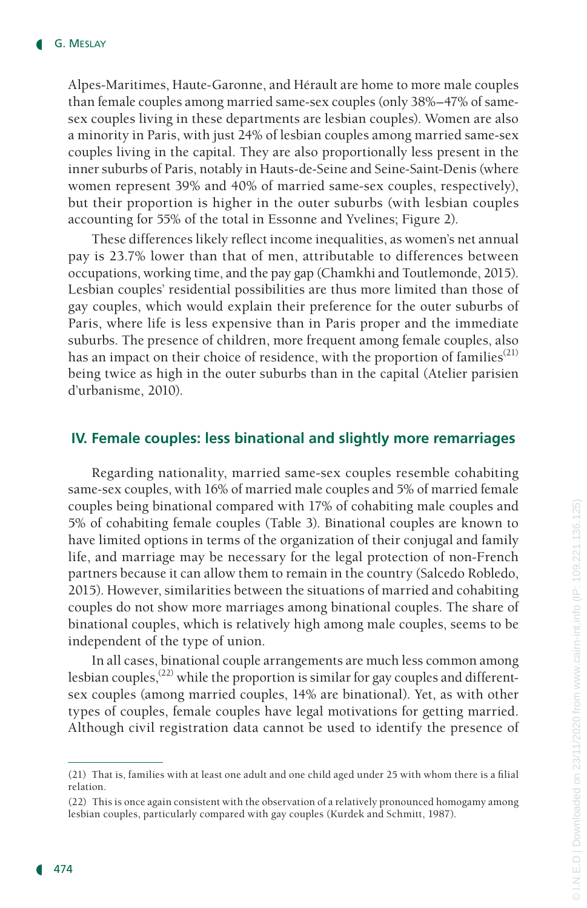Alpes-Maritimes, Haute-Garonne, and Hérault are home to more male couples than female couples among married same-sex couples (only 38%–47% of samesex couples living in these departments are lesbian couples). Women are also a minority in Paris, with just 24% of lesbian couples among married same-sex couples living in the capital. They are also proportionally less present in the inner suburbs of Paris, notably in Hauts-de-Seine and Seine-Saint-Denis (where women represent 39% and 40% of married same-sex couples, respectively), but their proportion is higher in the outer suburbs (with lesbian couples accounting for 55% of the total in Essonne and Yvelines; Figure 2).

These differences likely reflect income inequalities, as women's net annual pay is 23.7% lower than that of men, attributable to differences between occupations, working time, and the pay gap (Chamkhi and Toutlemonde, 2015). Lesbian couples' residential possibilities are thus more limited than those of gay couples, which would explain their preference for the outer suburbs of Paris, where life is less expensive than in Paris proper and the immediate suburbs. The presence of children, more frequent among female couples, also has an impact on their choice of residence, with the proportion of families<sup>(21)</sup> being twice as high in the outer suburbs than in the capital (Atelier parisien d'urbanisme, 2010).

## **IV. Female couples: less binational and slightly more remarriages**

Regarding nationality, married same-sex couples resemble cohabiting same-sex couples, with 16% of married male couples and 5% of married female couples being binational compared with 17% of cohabiting male couples and 5% of cohabiting female couples (Table 3). Binational couples are known to have limited options in terms of the organization of their conjugal and family life, and marriage may be necessary for the legal protection of non-French partners because it can allow them to remain in the country (Salcedo Robledo, 2015). However, similarities between the situations of married and cohabiting couples do not show more marriages among binational couples. The share of binational couples, which is relatively high among male couples, seems to be independent of the type of union.

In all cases, binational couple arrangements are much less common among lesbian couples,<sup> $(22)$ </sup> while the proportion is similar for gay couples and differentsex couples (among married couples, 14% are binational). Yet, as with other types of couples, female couples have legal motivations for getting married. Although civil registration data cannot be used to identify the presence of

<sup>(21)</sup> That is, families with at least one adult and one child aged under 25 with whom there is a filial relation.

<sup>(22)</sup> This is once again consistent with the observation of a relatively pronounced homogamy among lesbian couples, particularly compared with gay couples (Kurdek and Schmitt, 1987).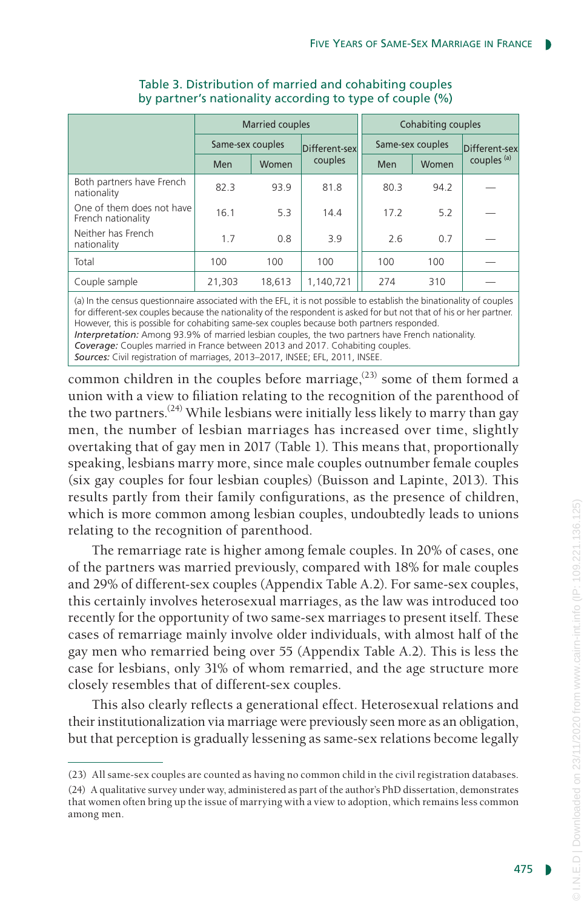|                                                 | <b>Married couples</b> |        |               | Cohabiting couples |       |                        |
|-------------------------------------------------|------------------------|--------|---------------|--------------------|-------|------------------------|
|                                                 | Same-sex couples       |        | Different-sex | Same-sex couples   |       | Different-sex          |
|                                                 | Men                    | Women  | couples       | Men                | Women | couples <sup>(a)</sup> |
| Both partners have French<br>nationality        | 82.3                   | 93.9   | 81.8          | 80.3               | 94.2  |                        |
| One of them does not have<br>French nationality | 16.1                   | 5.3    | 14.4          | 17.2               | 5.2   |                        |
| Neither has French<br>nationality               | 1.7                    | 0.8    | 3.9           | 2.6                | 0.7   |                        |
| Total                                           | 100                    | 100    | 100           | 100                | 100   |                        |
| Couple sample                                   | 21,303                 | 18.613 | 1.140.721     | 274                | 310   |                        |

## Table 3. Distribution of married and cohabiting couples by partner's nationality according to type of couple (%)

(a) In the census questionnaire associated with the EFL, it is not possible to establish the binationality of couples for different-sex couples because the nationality of the respondent is asked for but not that of his or her partner. However, this is possible for cohabiting same-sex couples because both partners responded. *Interpretation:* Among 93.9% of married lesbian couples, the two partners have French nationality. *Coverage:* Couples married in France between 2013 and 2017. Cohabiting couples. *Sources:* Civil registration of marriages, 2013–2017, INSEE; EFL, 2011, INSEE.

common children in the couples before marriage, $^{(23)}$  some of them formed a union with a view to filiation relating to the recognition of the parenthood of the two partners.<sup>(24)</sup> While lesbians were initially less likely to marry than gay men, the number of lesbian marriages has increased over time, slightly overtaking that of gay men in 2017 (Table 1). This means that, proportionally speaking, lesbians marry more, since male couples outnumber female couples (six gay couples for four lesbian couples) (Buisson and Lapinte, 2013). This results partly from their family configurations, as the presence of children, which is more common among lesbian couples, undoubtedly leads to unions relating to the recognition of parenthood.

The remarriage rate is higher among female couples. In 20% of cases, one of the partners was married previously, compared with 18% for male couples and 29% of different-sex couples (Appendix Table A.2). For same-sex couples, this certainly involves heterosexual marriages, as the law was introduced too recently for the opportunity of two same-sex marriages to present itself. These cases of remarriage mainly involve older individuals, with almost half of the gay men who remarried being over 55 (Appendix Table A.2). This is less the case for lesbians, only 31% of whom remarried, and the age structure more closely resembles that of different-sex couples.

This also clearly reflects a generational effect. Heterosexual relations and their institutionalization via marriage were previously seen more as an obligation, but that perception is gradually lessening as same-sex relations become legally

<sup>(23)</sup> All same-sex couples are counted as having no common child in the civil registration databases.

<sup>(24)</sup> A qualitative survey under way, administered as part of the author's PhD dissertation, demonstrates that women often bring up the issue of marrying with a view to adoption, which remains less common among men.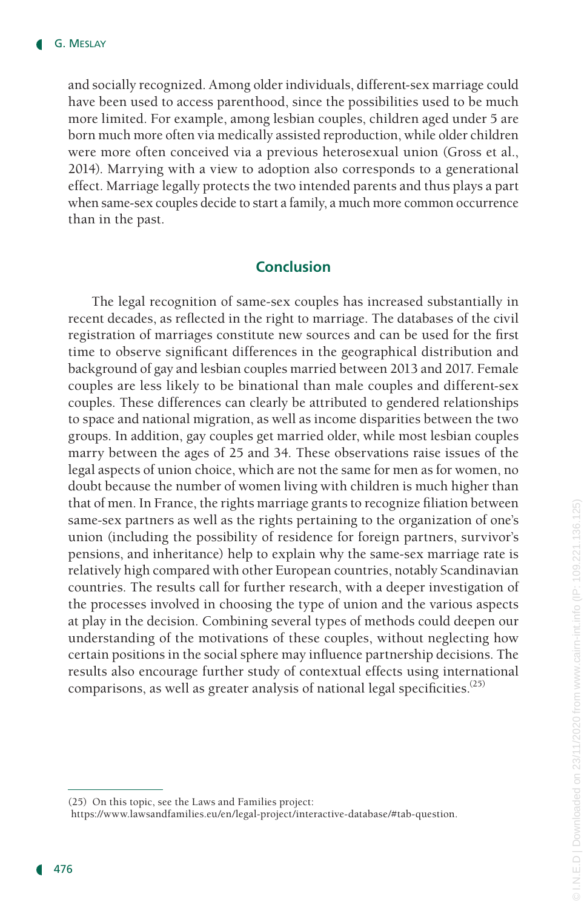and socially recognized. Among older individuals, different-sex marriage could have been used to access parenthood, since the possibilities used to be much more limited. For example, among lesbian couples, children aged under 5 are born much more often via medically assisted reproduction, while older children were more often conceived via a previous heterosexual union (Gross et al., 2014). Marrying with a view to adoption also corresponds to a generational effect. Marriage legally protects the two intended parents and thus plays a part when same-sex couples decide to start a family, a much more common occurrence than in the past.

#### **Conclusion**

The legal recognition of same-sex couples has increased substantially in recent decades, as reflected in the right to marriage. The databases of the civil registration of marriages constitute new sources and can be used for the first time to observe significant differences in the geographical distribution and background of gay and lesbian couples married between 2013 and 2017. Female couples are less likely to be binational than male couples and different-sex couples. These differences can clearly be attributed to gendered relationships to space and national migration, as well as income disparities between the two groups. In addition, gay couples get married older, while most lesbian couples marry between the ages of 25 and 34. These observations raise issues of the legal aspects of union choice, which are not the same for men as for women, no doubt because the number of women living with children is much higher than that of men. In France, the rights marriage grants to recognize filiation between same-sex partners as well as the rights pertaining to the organization of one's union (including the possibility of residence for foreign partners, survivor's pensions, and inheritance) help to explain why the same-sex marriage rate is relatively high compared with other European countries, notably Scandinavian countries. The results call for further research, with a deeper investigation of the processes involved in choosing the type of union and the various aspects at play in the decision. Combining several types of methods could deepen our understanding of the motivations of these couples, without neglecting how certain positions in the social sphere may influence partnership decisions. The results also encourage further study of contextual effects using international comparisons, as well as greater analysis of national legal specificities.<sup> $(25)$ </sup>

<sup>(25)</sup> On this topic, see the Laws and Families project:

https://www.lawsandfamilies.eu/en/legal-project/interactive-database/#tab-question.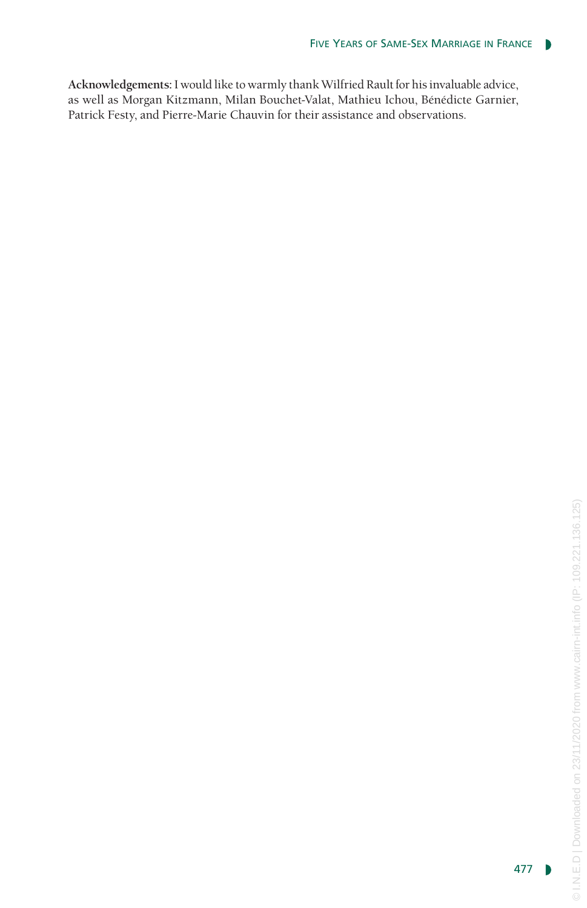**Acknowledgements:**I would like to warmly thank Wilfried Rault for his invaluable advice, as well as Morgan Kitzmann, Milan Bouchet-Valat, Mathieu Ichou, Bénédicte Garnier, Patrick Festy, and Pierre-Marie Chauvin for their assistance and observations.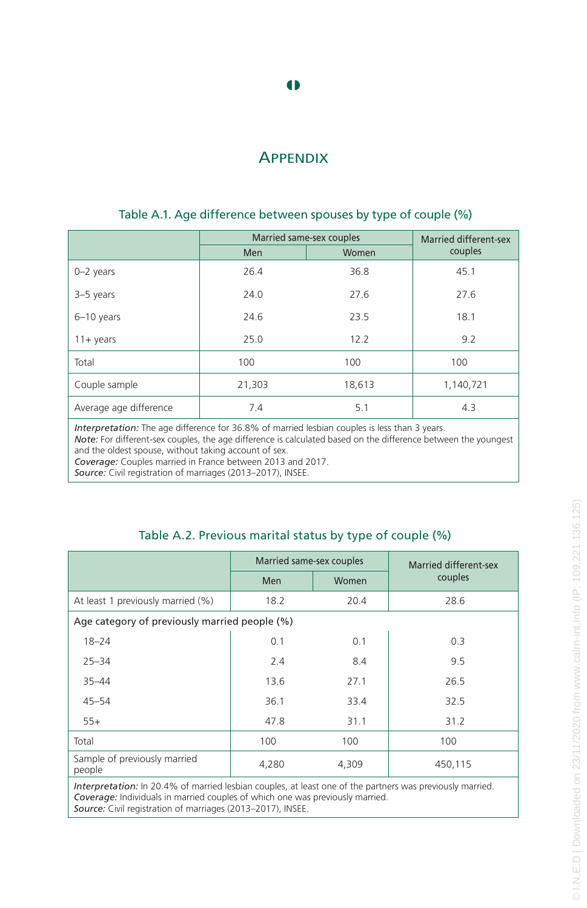# **APPENDIX**

|                        | Married same-sex couples | <b>Married different-sex</b> |           |
|------------------------|--------------------------|------------------------------|-----------|
|                        | Men                      | Women                        | couples   |
| $0 - 2$ years          | 26.4                     | 36.8                         | 45.1      |
| 3-5 years              | 24.0                     | 27.6                         | 27.6      |
| $6-10$ years           | 24.6                     | 23.5                         | 18.1      |
| $11 + \text{years}$    | 25.0                     | 12.2                         | 9.2       |
| Total                  | 100                      | 100                          | 100       |
| Couple sample          | 21,303                   | 18,613                       | 1,140,721 |
| Average age difference | 7.4                      | 5.1                          | 4.3       |

#### Table A.1. Age difference between spouses by type of couple (%)

*Interpretation:* The age difference for 36.8% of married lesbian couples is less than 3 years. *Note:* For different-sex couples, the age difference is calculated based on the difference between the youngest and the oldest spouse, without taking account of sex. *Coverage:* Couples married in France between 2013 and 2017.

*Source:* Civil registration of marriages (2013–2017), INSEE.

#### Table A.2. Previous marital status by type of couple (%)

|                                               | Married same-sex couples |       | Married different-sex<br>couples |  |  |  |
|-----------------------------------------------|--------------------------|-------|----------------------------------|--|--|--|
|                                               | Men                      | Women |                                  |  |  |  |
| At least 1 previously married (%)             | 18.2                     | 20.4  | 28.6                             |  |  |  |
| Age category of previously married people (%) |                          |       |                                  |  |  |  |
| $18 - 24$                                     | 0.1                      | 0.1   | 0.3                              |  |  |  |
| $25 - 34$                                     | 2.4                      | 8.4   | 9.5                              |  |  |  |
| $35 - 44$                                     | 13.6                     | 27.1  | 26.5                             |  |  |  |
| $45 - 54$                                     | 36.1                     | 33.4  | 32.5                             |  |  |  |
| $55+$                                         | 47.8                     | 31.1  | 31.2                             |  |  |  |
| Total                                         | 100                      | 100   | 100                              |  |  |  |
| Sample of previously married<br>people        | 4,280                    | 4,309 | 450,115                          |  |  |  |
|                                               |                          |       |                                  |  |  |  |

*Interpretation:* In 20.4% of married lesbian couples, at least one of the partners was previously married. *Coverage:* Individuals in married couples of which one was previously married. *Source:* Civil registration of marriages (2013–2017), INSEE.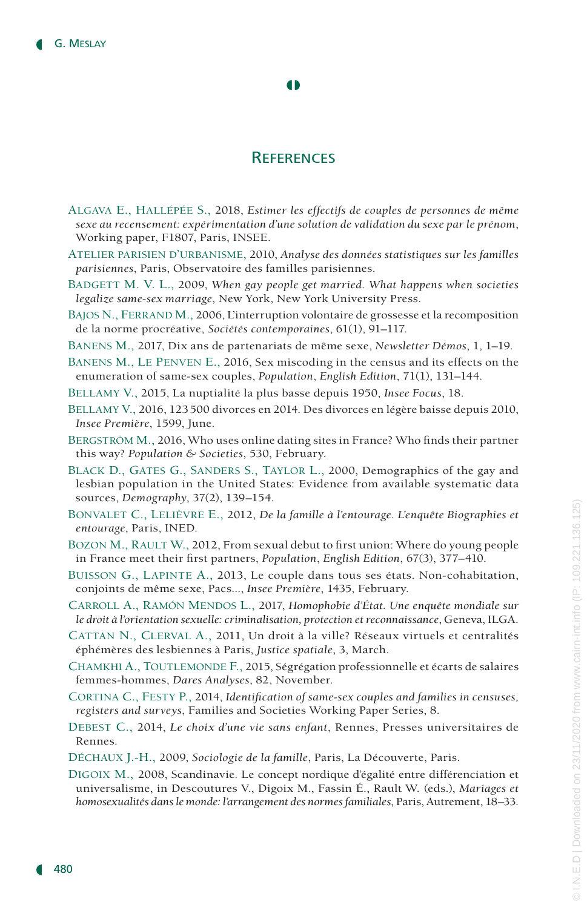#### $\bullet$

### **REFERENCES**

- Algava E., Hallépée S., 2018, *Estimer les effectifs de couples de personnes de même sexe au recensement: expérimentation d'une solution de validation du sexe par le prénom*, Working paper, F1807, Paris, INSEE.
- Atelier parisien d'urbanisme, 2010, *Analyse des données statistiques sur les familles parisiennes*, Paris, Observatoire des familles parisiennes.
- Badgett M. V. L., 2009, *When gay people get married. What happens when societies legalize same-sex marriage*, New York, New York University Press.
- BAJOS N., FERRAND M., 2006, L'interruption volontaire de grossesse et la recomposition de la norme procréative, *Sociétés contemporaines*, 61(1), 91–117.
- Banens M., 2017, Dix ans de partenariats de même sexe, *Newsletter Démos*, 1, 1–19.
- Banens M., Le Penven E., 2016, Sex miscoding in the census and its effects on the enumeration of same-sex couples, *Population*, *English Edition*, 71(1), 131–144.
- Bellamy V., 2015, La nuptialité la plus basse depuis 1950, *Insee Focus*, 18.
- Bellamy V., 2016, 123500 divorces en 2014. Des divorces en légère baisse depuis 2010, *Insee Première*, 1599, June.
- Bergström M., 2016, Who uses online dating sites in France? Who finds their partner this way? *Population & Societies*, 530, February.
- Black D., Gates G., Sanders S., Taylor L., 2000, Demographics of the gay and lesbian population in the United States: Evidence from available systematic data sources, *Demography*, 37(2), 139–154.
- Bonvalet C., Lelièvre E., 2012, *De la famille à l'entourage. L'enquête Biographies et entourage*, Paris, INED.
- BOZON M., RAULT W., 2012, From sexual debut to first union: Where do young people in France meet their first partners, *Population*, *English Edition*, 67(3), 377–410.
- Buisson G., Lapinte A., 2013, Le couple dans tous ses états. Non-cohabitation, conjoints de même sexe, Pacs..., *Insee Première*, 1435, February.
- Carroll A., Ramón Mendos L., 2017, *Homophobie d'État. Une enquête mondiale sur le droit à l'orientation sexuelle: criminalisation, protection et reconnaissance*, Geneva, ILGA.
- Cattan N., Clerval A., 2011, Un droit à la ville? Réseaux virtuels et centralités éphémères des lesbiennes à Paris, *Justice spatiale*, 3, March.
- Chamkhi A., Toutlemonde F., 2015, Ségrégation professionnelle et écarts de salaires femmes-hommes, *Dares Analyses*, 82, November.
- Cortina C., Festy P., 2014, *Identification of same-sex couples and families in censuses, registers and surveys*, Families and Societies Working Paper Series, 8.
- Debest C., 2014, *Le choix d'une vie sans enfant*, Rennes, Presses universitaires de Rennes.
- Déchaux J.-H., 2009, *Sociologie de la famille*, Paris, La Découverte, Paris.
- Digoix M., 2008, Scandinavie. Le concept nordique d'égalité entre différenciation et universalisme, in Descoutures V., Digoix M., Fassin É., Rault W. (eds.), *Mariages et homosexualités dans le monde: l'arrangement des normes familiales*, Paris, Autrement, 18–33.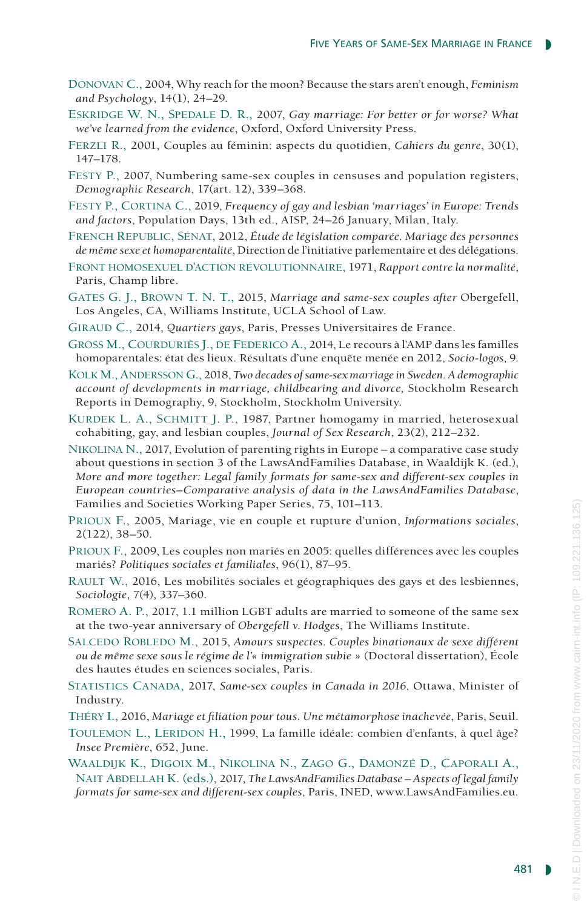- Donovan C., 2004, Why reach for the moon? Because the stars aren't enough, *Feminism and Psychology*, 14(1), 24–29.
- Eskridge W. N., Spedale D. R., 2007, *Gay marriage: For better or for worse? What we've learned from the evidence*, Oxford, Oxford University Press.
- Ferzli R., 2001, Couples au féminin: aspects du quotidien, *Cahiers du genre*, 30(1), 147–178.
- Festy P., 2007, Numbering same-sex couples in censuses and population registers, *Demographic Research*, 17(art. 12), 339–368.
- Festy P., Cortina C., 2019, *Frequency of gay and lesbian 'marriages' in Europe: Trends and factors*, Population Days, 13th ed., AISP, 24–26 January, Milan, Italy.
- French Republic, Sénat, 2012, *Étude de législation comparée. Mariage des personnes de même sexe et homoparentalité*, Direction de l'initiative parlementaire et des délégations.
- Front homosexuel d'action révolutionnaire, 1971, *Rapport contre la normalité*, Paris, Champ libre.
- Gates G. J., Brown T. N. T., 2015, *Marriage and same-sex couples after* Obergefell, Los Angeles, CA, Williams Institute, UCLA School of Law.
- Giraud C., 2014, *Quartiers gays*, Paris, Presses Universitaires de France.
- Gross M., Courduriès J., de Federico A., 2014, Le recours à l'AMP dans les familles homoparentales: état des lieux. Résultats d'une enquête menée en 2012, *Socio-logos*, 9.
- Kolk M., Andersson G., 2018, *Two decades of same-sex marriage in Sweden. A demographic account of developments in marriage, childbearing and divorce,* Stockholm Research Reports in Demography, 9, Stockholm, Stockholm University.
- KURDEK L. A., SCHMITT J. P., 1987, Partner homogamy in married, heterosexual cohabiting, gay, and lesbian couples, *Journal of Sex Research*, 23(2), 212–232.
- Nikolina N., 2017, Evolution of parenting rights in Europe a comparative case study about questions in section 3 of the LawsAndFamilies Database, in Waaldijk K. (ed.), *More and more together: Legal family formats for same-sex and different-sex couples in European countries–Comparative analysis of data in the LawsAndFamilies Database*, Families and Societies Working Paper Series, 75, 101–113.
- Prioux F., 2005, Mariage, vie en couple et rupture d'union, *Informations sociales*, 2(122), 38–50.
- Prioux F., 2009, Les couples non mariés en 2005: quelles différences avec les couples mariés? *Politiques sociales et familiales*, 96(1), 87–95.
- Rault W., 2016, Les mobilités sociales et géographiques des gays et des lesbiennes, *Sociologie*, 7(4), 337–360.
- Romero A. P., 2017, 1.1 million LGBT adults are married to someone of the same sex at the two-year anniversary of *Obergefell v. Hodges*, The Williams Institute.
- SALCEDO ROBLEDO M., 2015, *Amours suspectes. Couples binationaux de sexe différent ou de même sexe sous le régime de l'« immigration subie »* (Doctoral dissertation), École des hautes études en sciences sociales, Paris.
- Statistics Canada, 2017, *Same-sex couples in Canada in 2016*, Ottawa, Minister of Industry.
- Théry I., 2016, *Mariage et filiation pour tous. Une métamorphose inachevée*, Paris, Seuil.
- TOULEMON L., LERIDON H., 1999, La famille idéale: combien d'enfants, à quel âge? *Insee Première*, 652, June.
- Waaldijk K., Digoix M., Nikolina N., Zago G., Damonzé D., Caporali A., Nait Abdellah K. (eds.), 2017, *The LawsAndFamilies Database – Aspects of legal family formats for same-sex and different-sex couples*, Paris, INED, www.LawsAndFamilies.eu.